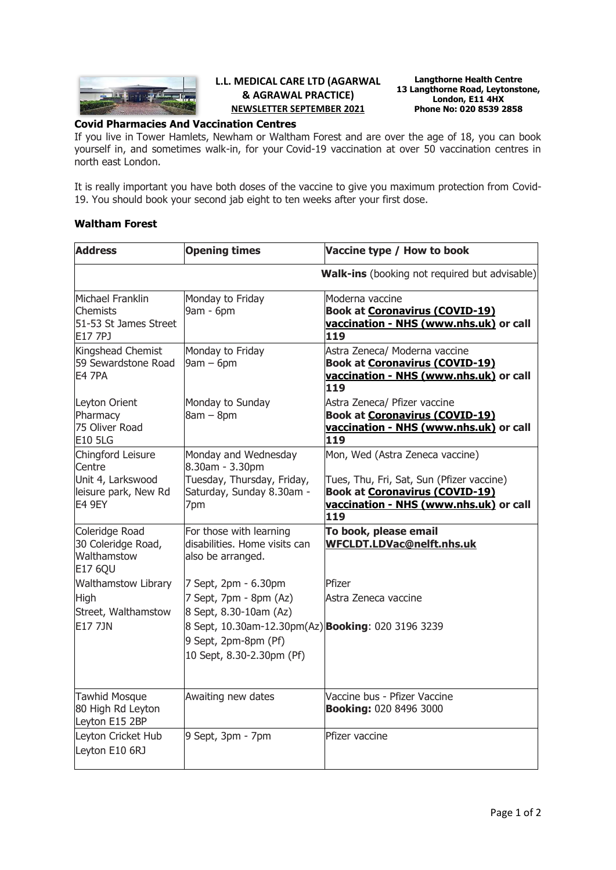

## **L.L. MEDICAL CARE LTD (AGARWAL & AGRAWAL PRACTICE) NEWSLETTER SEPTEMBER 2021**

**Langthorne Health Centre 13 Langthorne Road, Leytonstone, London, E11 4HX Phone No: 020 8539 2858**

## **Covid Pharmacies And Vaccination Centres**

If you live in Tower Hamlets, Newham or Waltham Forest and are over the age of 18, you can book yourself in, and sometimes walk-in, for your Covid-19 vaccination at over 50 vaccination centres in north east London.

It is really important you have both doses of the vaccine to give you maximum protection from Covid-19. You should book your second jab eight to ten weeks after your first dose.

## **Waltham Forest**

| <b>Address</b>                                                                            | <b>Opening times</b>                                                                                                                                                                | Vaccine type / How to book                                                                                                                                             |  |
|-------------------------------------------------------------------------------------------|-------------------------------------------------------------------------------------------------------------------------------------------------------------------------------------|------------------------------------------------------------------------------------------------------------------------------------------------------------------------|--|
|                                                                                           | <b>Walk-ins</b> (booking not required but advisable)                                                                                                                                |                                                                                                                                                                        |  |
| Michael Franklin<br>Chemists<br>51-53 St James Street<br>E17 7PJ                          | Monday to Friday<br>9am - 6pm                                                                                                                                                       | Moderna vaccine<br><b>Book at Coronavirus (COVID-19)</b><br>vaccination - NHS (www.nhs.uk) or call<br>119                                                              |  |
| Kingshead Chemist<br>59 Sewardstone Road<br><b>E4 7PA</b>                                 | Monday to Friday<br>$9am - 6pm$                                                                                                                                                     | Astra Zeneca/ Moderna vaccine<br><b>Book at Coronavirus (COVID-19)</b><br>vaccination - NHS (www.nhs.uk) or call<br>119                                                |  |
| Leyton Orient<br>Pharmacy<br>75 Oliver Road<br><b>E10 5LG</b>                             | Monday to Sunday<br>$8am - 8pm$                                                                                                                                                     | Astra Zeneca/ Pfizer vaccine<br><b>Book at Coronavirus (COVID-19)</b><br>vaccination - NHS (www.nhs.uk) or call<br>119                                                 |  |
| Chingford Leisure<br>Centre<br>Unit 4, Larkswood<br>leisure park, New Rd<br><b>E4 9EY</b> | Monday and Wednesday<br>8.30am - 3.30pm<br>Tuesday, Thursday, Friday,<br>Saturday, Sunday 8.30am -<br>7pm                                                                           | Mon, Wed (Astra Zeneca vaccine)<br>Tues, Thu, Fri, Sat, Sun (Pfizer vaccine)<br><b>Book at Coronavirus (COVID-19)</b><br>vaccination - NHS (www.nhs.uk) or call<br>119 |  |
| Coleridge Road<br>30 Coleridge Road,<br>Walthamstow<br><b>E17 6QU</b>                     | For those with learning<br>disabilities. Home visits can<br>also be arranged.                                                                                                       | To book, please email<br>WFCLDT.LDVac@nelft.nhs.uk                                                                                                                     |  |
| <b>Walthamstow Library</b><br>High<br>Street, Walthamstow<br><b>E17 7JN</b>               | 7 Sept, 2pm - 6.30pm<br>7 Sept, 7pm - 8pm (Az)<br>8 Sept, 8.30-10am (Az)<br>8 Sept, 10.30am-12.30pm(Az) Booking: 020 3196 3239<br>9 Sept, 2pm-8pm (Pf)<br>10 Sept, 8.30-2.30pm (Pf) | Pfizer<br>Astra Zeneca vaccine                                                                                                                                         |  |
| <b>Tawhid Mosque</b><br>80 High Rd Leyton<br>Leyton E15 2BP                               | Awaiting new dates                                                                                                                                                                  | Vaccine bus - Pfizer Vaccine<br>Booking: 020 8496 3000                                                                                                                 |  |
| Leyton Cricket Hub<br>Leyton E10 6RJ                                                      | 9 Sept, 3pm - 7pm                                                                                                                                                                   | Pfizer vaccine                                                                                                                                                         |  |